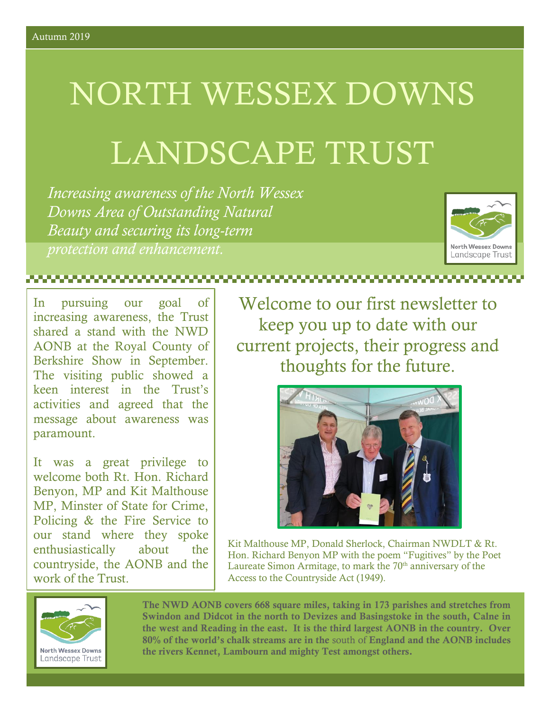# NORTH WESSEX DOWNS

## LANDSCAPE TRUST

*Increasing awareness of the North Wessex Downs Area of Outstanding Natural Beauty and securing its long-term protection and enhancement.*



In pursuing our goal of increasing awareness, the Trust shared a stand with the NWD AONB at the Royal County of Berkshire Show in September. The visiting public showed a keen interest in the Trust's activities and agreed that the message about awareness was paramount.

It was a great privilege to welcome both Rt. Hon. Richard Benyon, MP and Kit Malthouse MP, Minster of State for Crime, Policing & the Fire Service to our stand where they spoke enthusiastically about the countryside, the AONB and the work of the Trust.

Welcome to our first newsletter to keep you up to date with our current projects, their progress and thoughts for the future.



Kit Malthouse MP, Donald Sherlock, Chairman NWDLT & Rt. Hon. Richard Benyon MP with the poem "Fugitives" by the Poet Laureate Simon Armitage, to mark the  $70<sup>th</sup>$  anniversary of the Access to the Countryside Act (1949).



The NWD AONB covers 668 square miles, taking in 173 parishes and stretches from Swindon and Didcot in the north to Devizes and Basingstoke in the south, Calne in the west and Reading in the east. It is the third largest AONB in the country. Over 80% of the world's chalk streams are in the south of England and the AONB includes the rivers Kennet, Lambourn and mighty Test amongst others.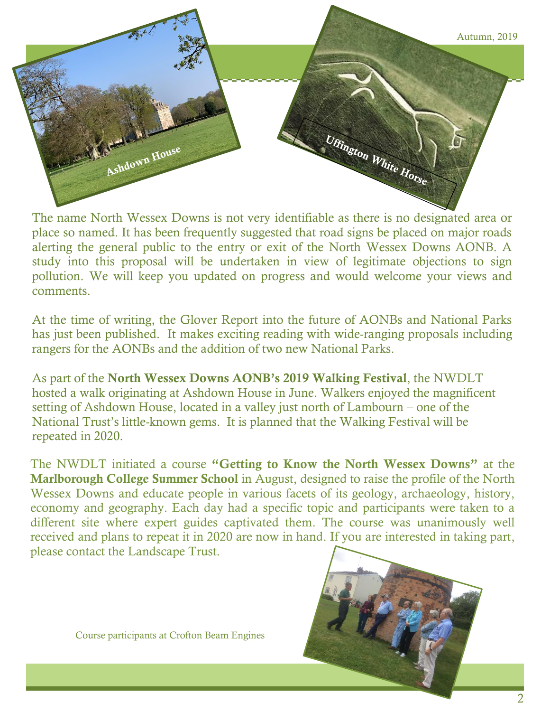

The name North Wessex Downs is not very identifiable as there is no designated area or place so named. It has been frequently suggested that road signs be placed on major roads alerting the general public to the entry or exit of the North Wessex Downs AONB. A study into this proposal will be undertaken in view of legitimate objections to sign pollution. We will keep you updated on progress and would welcome your views and comments.

At the time of writing, the Glover Report into the future of AONBs and National Parks has just been published. It makes exciting reading with wide-ranging proposals including rangers for the AONBs and the addition of two new National Parks.

As part of the North Wessex Downs AONB's 2019 Walking Festival, the NWDLT hosted a walk originating at Ashdown House in June. Walkers enjoyed the magnificent setting of Ashdown House, located in a valley just north of Lambourn – one of the National Trust's little-known gems. It is planned that the Walking Festival will be repeated in 2020.

The NWDLT initiated a course "Getting to Know the North Wessex Downs" at the Marlborough College Summer School in August, designed to raise the profile of the North Wessex Downs and educate people in various facets of its geology, archaeology, history, economy and geography. Each day had a specific topic and participants were taken to a different site where expert guides captivated them. The course was unanimously well received and plans to repeat it in 2020 are now in hand. If you are interested in taking part, please contact the Landscape Trust.



Course participants at Crofton Beam Engines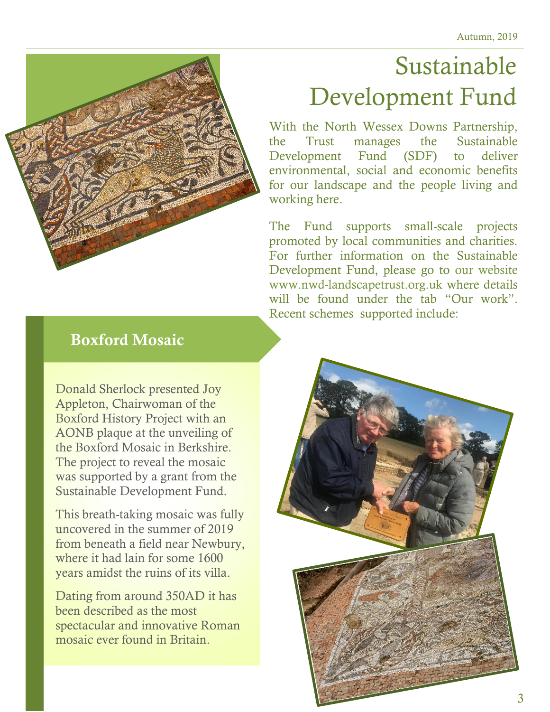### Sustainable Development Fund

With the North Wessex Downs Partnership, the Trust manages the Sustainable Development Fund (SDF) to deliver environmental, social and economic benefits for our landscape and the people living and working here.

The Fund supports small-scale projects promoted by local communities and charities. For further information on the Sustainable Development Fund, please go to our website www.nwd-landscapetrust.org.uk where details will be found under the tab "Our work". Recent schemes supported include:

#### Boxford Mosaic

r

Donald Sherlock presented Joy Appleton, Chairwoman of the Boxford History Project with an AONB plaque at the unveiling of the Boxford Mosaic in Berkshire. The project to reveal the mosaic was supported by a grant from the Sustainable Development Fund.

This breath-taking mosaic was fully uncovered in the summer of 2019 from beneath a field near Newbury, where it had lain for some 1600 years amidst the ruins of its villa.

Dating from around 350AD it has been described as the most spectacular and innovative Roman mosaic ever found in Britain.

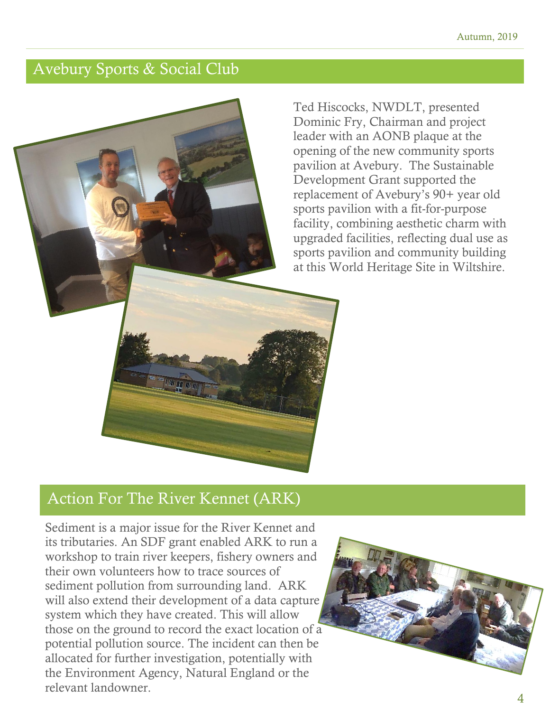#### Avebury Sports & Social Club

Ted Hiscocks, NWDLT, presented Dominic Fry, Chairman and project leader with an AONB plaque at the opening of the new community sports pavilion at Avebury. The Sustainable Development Grant supported the replacement of Avebury's 90+ year old sports pavilion with a fit-for-purpose facility, combining aesthetic charm with upgraded facilities, reflecting dual use as sports pavilion and community building at this World Heritage Site in Wiltshire.

#### Action For The River Kennet (ARK)

血工而

Sediment is a major issue for the River Kennet and its tributaries. An SDF grant enabled ARK to run a workshop to train river keepers, fishery owners and their own volunteers how to trace sources of sediment pollution from surrounding land. ARK will also extend their development of a data capture system which they have created. This will allow those on the ground to record the exact location of a potential pollution source. The incident can then be allocated for further investigation, potentially with the Environment Agency, Natural England or the relevant landowner.